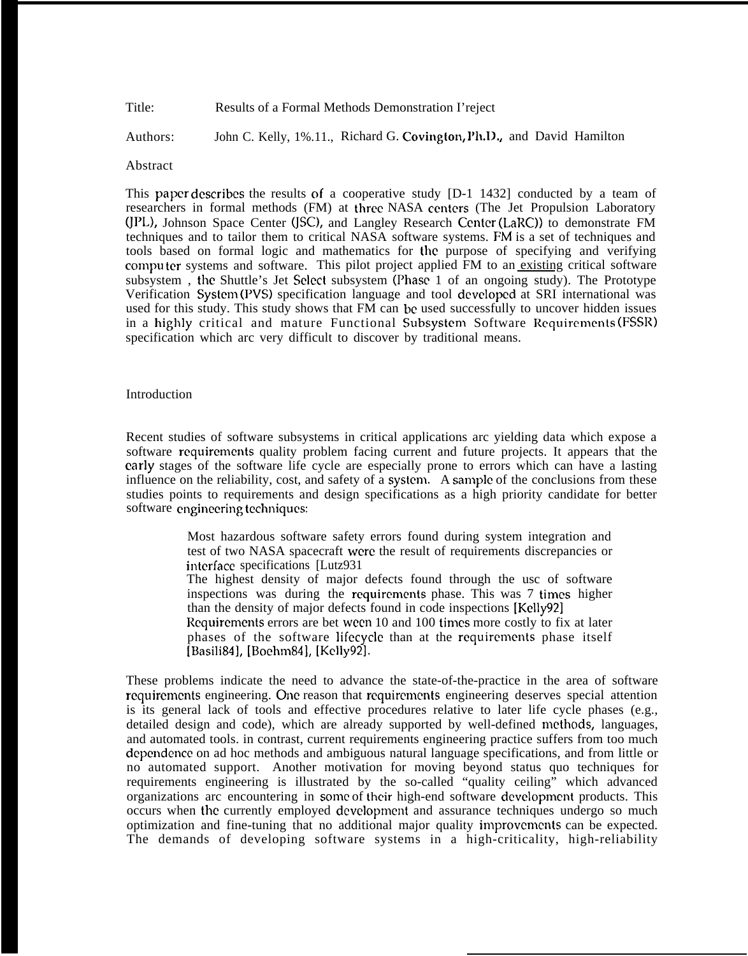Title: Results of a Formal Methods Demonstration I'reject

Authors: John C. Kelly, 1%.11., Richard G. Covington, Ph.D., and David Hamilton

#### Abstract

This paper dcscribcs the results of a cooperative study [D-1 1432] conducted by a team of researchers in formal methods (FM) at three NASA centers (The Jet Propulsion Laboratory (JPL), Johnson Space Center (JSC), and Langley Research Center (LaRC)) to demonstrate FM techniques and to tailor them to critical NASA software systems. FM is a set of techniques and tools based on formal logic and mathematics for the purpose of specifying and verifying computer systems and software. This pilot project applied FM to an existing critical software subsystem, the Shuttle's Jet Select subsystem (Phase 1 of an ongoing study). The Prototype Verification System (PVS) specification language and tool developed at SRI international was used for this study. This study shows that FM can be used successfully to uncover hidden issues in a highly critical and mature Functional Subsystem Software Requirements (FSSR) specification which arc very difficult to discover by traditional means.

#### Introduction

Recent studies of software subsystems in critical applications arc yielding data which expose a software rcquircmcnts quality problem facing current and future projects. It appears that the early stages of the software life cycle are especially prone to errors which can have a lasting influence on the reliability, cost, and safety of a systcm. A sample of the conclusions from these studies points to requirements and design specifications as a high priority candidate for better software engineering techniques:

> Most hazardous software safety errors found during system integration and test of two NASA spacecraft were the result of requirements discrepancies or intcrfacc specifications [Lutz931 The highest density of major defects found through the usc of software inspections was during the requirements phase. This was 7 times higher than the density of major defects found in code inspections [Kelly921 Requirements errors are bet ween 10 and 100 times more costly to fix at later phases of the software lifecycle than at the requirements phase itself [Basili84], [Bochn~84], [Kclly92].

These problems indicate the need to advance the state-of-the-practice in the area of software requirements engineering. One reason that requirements engineering deserves special attention is its general lack of tools and effective procedures relative to later life cycle phases (e.g., detailed design and code), which are already supported by well-defined methods, languages, and automated tools. in contrast, current requirements engineering practice suffers from too much dependence on ad hoc methods and ambiguous natural language specifications, and from little or no automated support. Another motivation for moving beyond status quo techniques for requirements engineering is illustrated by the so-called "quality ceiling" which advanced organizations arc encountering in some of their high-end software development products. This occurs when the currently employed dcveloprncnt and assurance techniques undergo so much optimization and fine-tuning that no additional major quality irnprovcrncnts can be expected. The demands of developing software systems in a high-criticality, high-reliability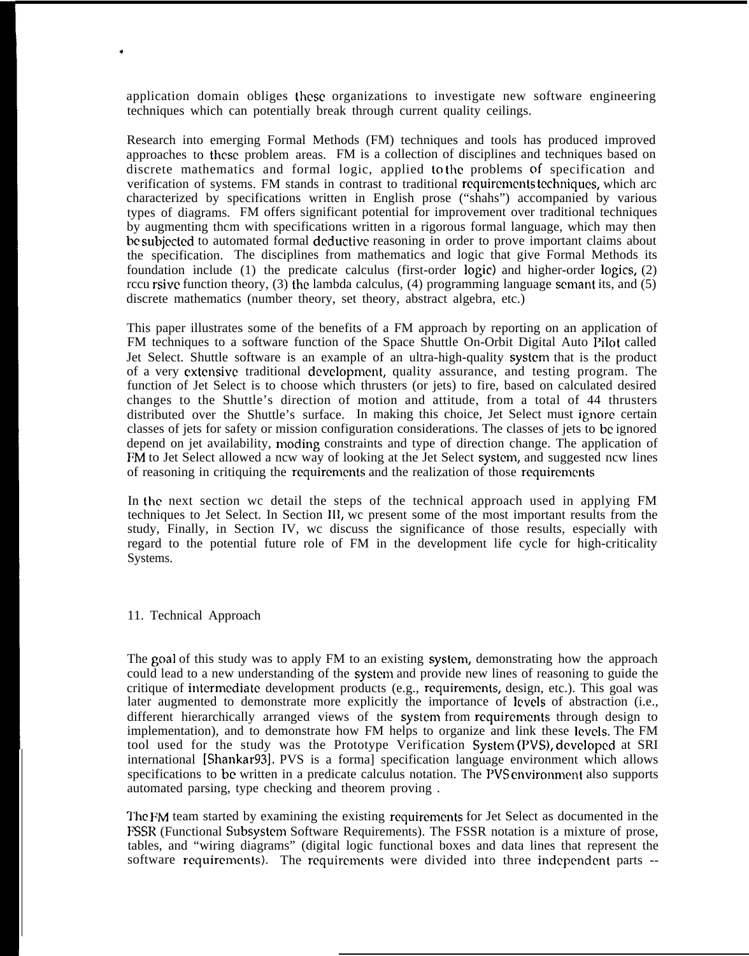application domain obliges these organizations to investigate new software engineering techniques which can potentially break through current quality ceilings.

Research into emerging Formal Methods (FM) techniques and tools has produced improved approaches to these problem areas. FM is a collection of disciplines and techniques based on discrete mathematics and formal logic, applied to the problems of specification and verification of systems. FM stands in contrast to traditional rcquircmcnts tcchniqucs, which arc characterized by specifications written in English prose ("shahs") accompanied by various types of diagrams. FM offers significant potential for improvement over traditional techniques by augmenting thcm with specifications written in a rigorous formal language, which may then be subjected to automated formal deductive reasoning in order to prove important claims about the specification. The disciplines from mathematics and logic that give Formal Methods its foundation include (1) the predicate calculus (first-order logic) and higher-order logics, (2) rccu rsivc function theory, (3) the lambda calculus, (4) programming language scmant its, and (5) discrete mathematics (number theory, set theory, abstract algebra, etc.)

This paper illustrates some of the benefits of a FM approach by reporting on an application of FM techniques to a software function of the Space Shuttle On-Orbit Digital Auto Pilot called Jet Select. Shuttle software is an example of an ultra-high-quality systcm that is the product of a very cxtcnsivc traditional dcvclopmcnt, quality assurance, and testing program. The function of Jet Select is to choose which thrusters (or jets) to fire, based on calculated desired changes to the Shuttle's direction of motion and attitude, from a total of 44 thrusters distributed over the Shuttle's surface. In making this choice, Jet Select must ignore certain classes of jets for safety or mission configuration considerations. The classes of jets to bc ignored depend on jet availability, moding constraints and type of direction change. The application of FM to Jet Select allowed a ncw way of looking at the Jet Select system, and suggested ncw lines of reasoning in critiquing the rcquircmcnts and the realization of those rcquircmcnts

In the next section wc detail the steps of the technical approach used in applying FM techniques to Jet Select. In Section 111, wc present some of the most important results from the study, Finally, in Section IV, wc discuss the significance of those results, especially with regard to the potential future role of FM in the development life cycle for high-criticality Systems.

### 11. Technical Approach

,

The goal of this study was to apply FM to an existing system, demonstrating how the approach could lead to a new understanding of the systcm and provide new lines of reasoning to guide the critique of intcrrncdiatc development products (e.g., rcquircmcnts, design, etc.). This goal was later augmented to demonstrate more explicitly the importance of levels of abstraction (i.e., different hierarchically arranged views of the system from requirements through design to implementation), and to demonstrate how FM helps to organize and link these levels. The FM tool used for the study was the Prototype Verification System (PVS), developed at SRI international [Shankar93], PVS is a forma] specification language environment which allows specifications to be written in a predicate calculus notation. The PVS environment also supports automated parsing, type checking and theorem proving .

The FM team started by examining the existing requirements for Jet Select as documented in the FSSR (Functional Subsystem Software Requirements). The FSSR notation is a mixture of prose, tables, and "wiring diagrams" (digital logic functional boxes and data lines that represent the software requirements). The requirements were divided into three independent parts --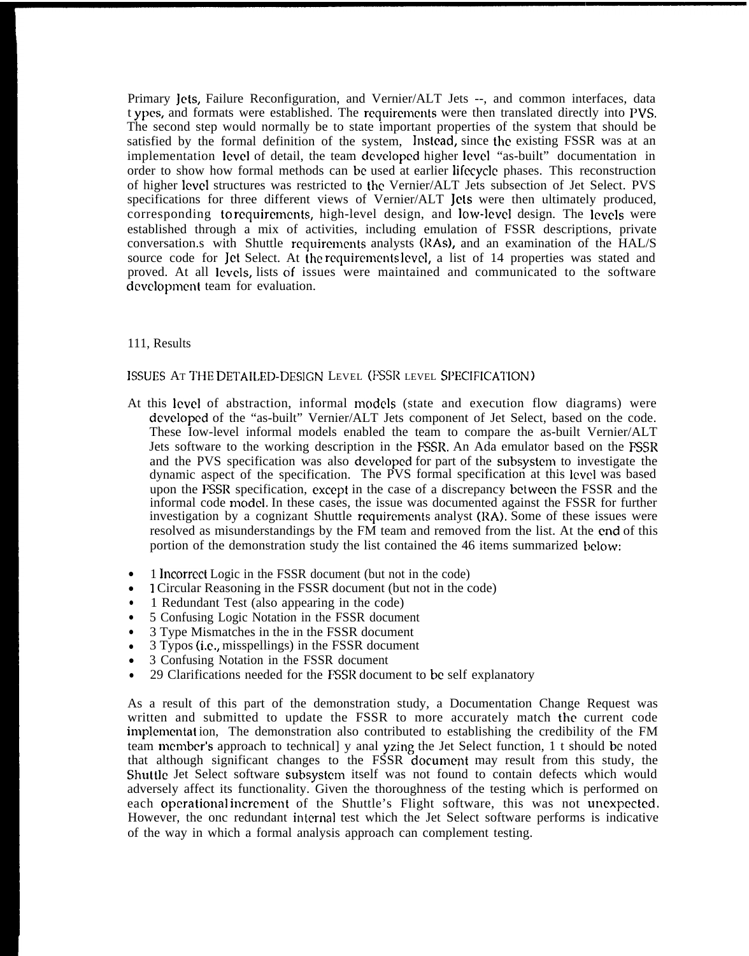Primary Jets, Failure Reconfiguration, and Vernier/ALT Jets --, and common interfaces, data t ypcs, and formats were established. The rcquircmcnts were then translated directly into PVS. The second step would normally be to state important properties of the system that should be satisfied by the formal definition of the system, Instead, since the existing FSSR was at an implementation level of detail, the team developed higher level "as-built" documentation in order to show how formal methods can bc used at earlier lifccyclc phases. This reconstruction of higher Icvcl structures was restricted to the Vernier/ALT Jets subsection of Jet Select. PVS specifications for three different views of Vernier/ALT Jets were then ultimately produced, corresponding to requirements, high-level design, and low-level design. The levels were established through a mix of activities, including emulation of FSSR descriptions, private conversation.s with Shuttle rcquircmcnts analysts (RAs), and an examination of the HAL/S source code for Jet Select. At the requirements level, a list of 14 properties was stated and proved. At all levels, lists of issues were maintained and communicated to the software development team for evaluation.

## 111, Results

### ISSUES AT THE DETAILED-DESIGN LEVEL (FSSR LEVEL SPECIFICATION)

- At this level of abstraction, informal models (state and execution flow diagrams) were developed of the "as-built" Vernier/ALT Jets component of Jet Select, based on the code. These Iow-level informal models enabled the team to compare the as-built Vernier/ALT Jets software to the working description in the FSSR. An Ada emulator based on the FSSR and the PVS specification was also dcvclopcd for part of the subsystcm to investigate the dynamic aspect of the specification. The PVS formal specification at this level was based upon the FSSR specification, cxccpt in the case of a discrepancy bctwccn the FSSR and the informal code rnodcl. In these cases, the issue was documented against the FSSR for further investigation by a cognizant Shuttle requirements analyst (RA). Some of these issues were resolved as misunderstandings by the FM team and removed from the list. At the cnd of this portion of the demonstration study the list contained the 46 items summarized below:
- 1 lncorrcct Logic in the FSSR document (but not in the code)
- 1 Circular Reasoning in the FSSR document (but not in the code)
- 1 Redundant Test (also appearing in the code)
- 5 Confusing Logic Notation in the FSSR document
- 3 Type Mismatches in the in the FSSR document
- $\bullet$ 3 Typos (i.c,, misspellings) in the FSSR document
- $\bullet$ 3 Confusing Notation in the FSSR document
- 29 Clarifications needed for the FSSR document to bc self explanatory

As a result of this part of the demonstration study, a Documentation Change Request was written and submitted to update the FSSR to more accurately match the current code implemcntat ion, The demonstration also contributed to establishing the credibility of the FM team mcrnbcr's approach to technical] y anal yzing the Jet Select function, 1 t should bc noted that although significant changes to the FSSR documcpt may result from this study, the Shuttle Jet Select software subsystem itself was not found to contain defects which would adversely affect its functionality. Given the thoroughness of the testing which is performed on each operational increment of the Shuttle's Flight software, this was not unexpected. However, the onc redundant intcrna] test which the Jet Select software performs is indicative of the way in which a formal analysis approach can complement testing.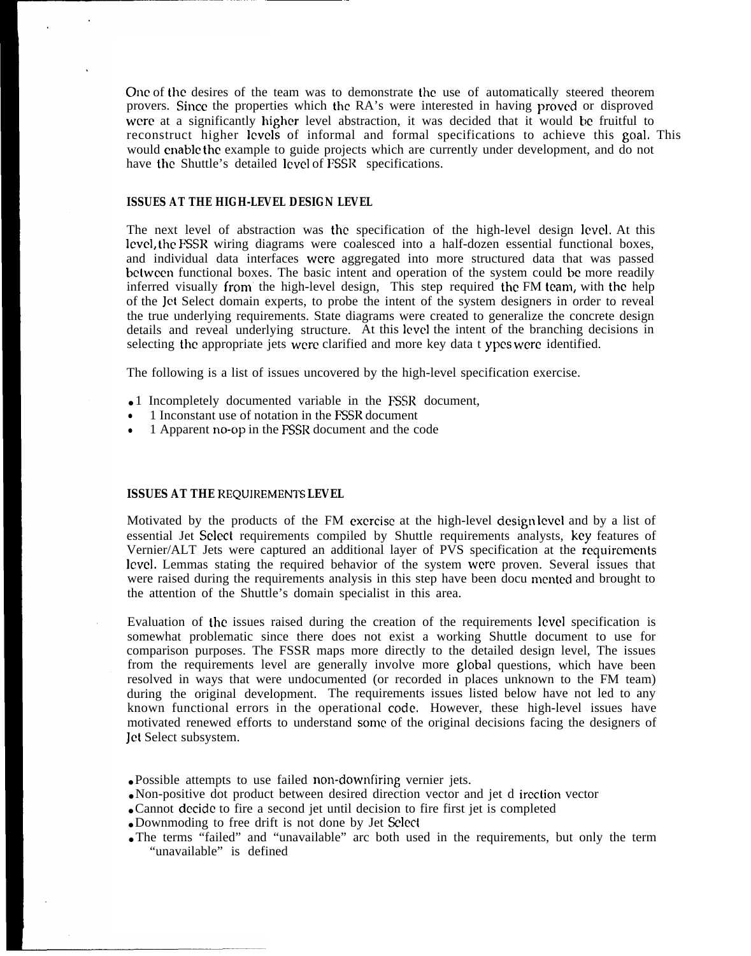One of the desires of the team was to demonstrate the use of automatically steered theorem provers. Since the properties which the RA's were interested in having proved or disproved were at a significantly higher level abstraction, it was decided that it would be fruitful to reconstruct higher levels of informal and formal specifications to achieve this goal. This would enable the example to guide projects which are currently under development, and do not have the Shuttle's detailed level of FSSR specifications.

### **ISSUES AT THE HIGH-LEVEL DESIGN LEVEL**

The next level of abstraction was the specification of the high-level design level. At this level, the FSSR wiring diagrams were coalesced into a half-dozen essential functional boxes, and individual data interfaces were aggregated into more structured data that was passed bctwccn functional boxes. The basic intent and operation of the system could bc more readily inferred visually from the high-level design, This step required the FM team, with the help of the Jct Select domain experts, to probe the intent of the system designers in order to reveal the true underlying requirements. State diagrams were created to generalize the concrete design details and reveal underlying structure. At this level the intent of the branching decisions in selecting the appropriate jets were clarified and more key data t ypcs were identified.

The following is a list of issues uncovered by the high-level specification exercise.

- 1 Incompletely documented variable in the FSSR document,
- 1 Inconstant use of notation in the FSSR document
- 1 Apparent no-op in the FSSR document and the code

#### **ISSUES AT THE REQUIREMENTS LEVEL**

Motivated by the products of the FM excrcisc at the high-level design level and by a list of essential Jet Select requirements compiled by Shuttle requirements analysts, key features of Vernier/ALT Jets were captured an additional layer of PVS specification at the requirements level. Lemmas stating the required behavior of the system were proven. Several issues that were raised during the requirements analysis in this step have been docu mented and brought to the attention of the Shuttle's domain specialist in this area.

Evaluation of the issues raised during the creation of the requirements level specification is somewhat problematic since there does not exist a working Shuttle document to use for comparison purposes. The FSSR maps more directly to the detailed design level, The issues from the requirements level are generally involve more global questions, which have been resolved in ways that were undocumented (or recorded in places unknown to the FM team) during the original development. The requirements issues listed below have not led to any known functional errors in the operational code. However, these high-level issues have motivated renewed efforts to understand some of the original decisions facing the designers of Jet Select subsystem.

- Possible attempts to use failed non-downfiring vernier jets.
- Non-positive dot product between desired direction vector and jet d ircction vector
- Cannot decide to fire a second jet until decision to fire first jet is completed
- Downmoding to free drift is not done by Jet Select
- The terms "failed" and "unavailable" arc both used in the requirements, but only the term "unavailable" is defined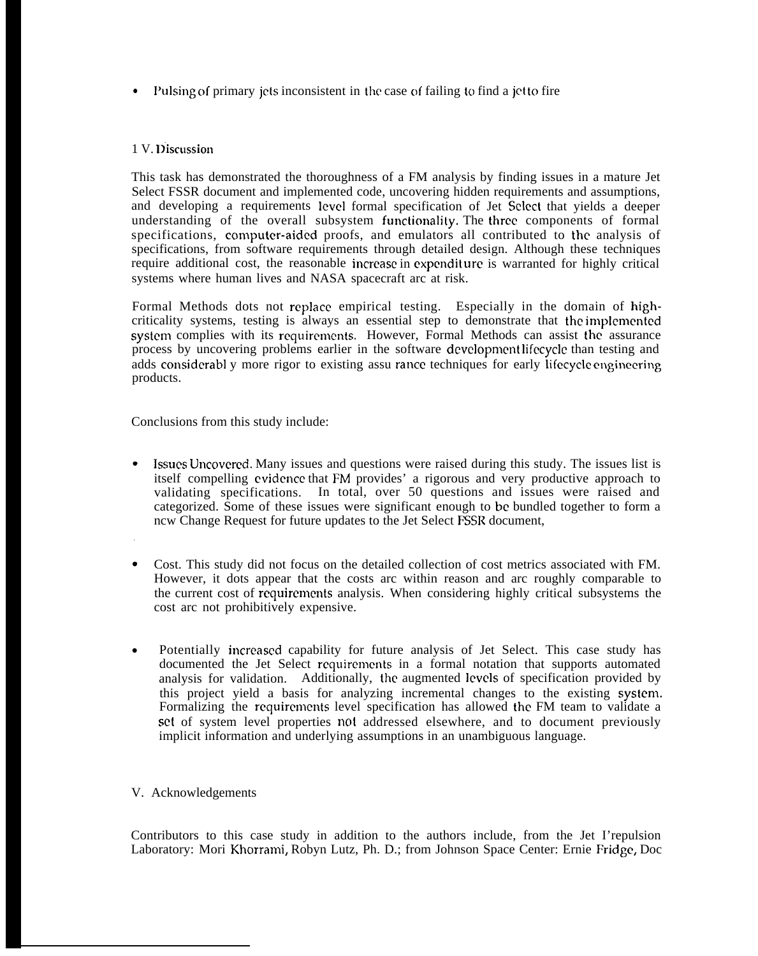• Pulsing of primary jets inconsistent in the case of failing to find a jet to fire

## 1 V. Discussion

This task has demonstrated the thoroughness of a FM analysis by finding issues in a mature Jet Select FSSR document and implemented code, uncovering hidden requirements and assumptions, and developing a requirements level formal specification of Jet %lect that yields a deeper understanding of the overall subsystem functionality, The three components of formal specifications, computer-aided proofs, and emulators all contributed to the analysis of specifications, from software requirements through detailed design. Although these techniques require additional cost, the reasonable incrcasc in cxpcndit urc is warranted for highly critical systems where human lives and NASA spacecraft arc at risk.

Formal Methods dots not replace empirical testing. Especially in the domain of highcriticality systems, testing is always an essential step to demonstrate that the irnplcmcntcd system complies with its requirements. However, Formal Methods can assist the assurance process by uncovering problems earlier in the software dcvcloprncnt Iifccyclc than testing and adds considerabl y more rigor to existing assu rance techniques for early lifecycle engineering products.

Conclusions from this study include:

- Issues Uncovered. Many issues and questions were raised during this study. The issues list is itself compelling cvidcncc that FM provides' a rigorous and very productive approach to validating specifications. In total, over 50 questions and issues were raised and categorized. Some of these issues were significant enough to bc bundled together to form a ncw Change Request for future updates to the Jet Select FSSR document,
- Cost. This study did not focus on the detailed collection of cost metrics associated with FM. However, it dots appear that the costs arc within reason and arc roughly comparable to the current cost of rcquircmcnts analysis. When considering highly critical subsystems the cost arc not prohibitively expensive.
- Potentially incrcascd capability for future analysis of Jet Select. This case study has documented the Jet Select requirements in a formal notation that supports automated analysis for validation. Additionally, the augmented levels of specification provided by this project yield a basis for analyzing incremental changes to the existing systcm. Formalizing the rcquircmcnts level specification has allowed the FM team to validate a set of system level properties not addressed elsewhere, and to document previously implicit information and underlying assumptions in an unambiguous language.

# V. Acknowledgements

Contributors to this case study in addition to the authors include, from the Jet I'repulsion Laboratory: Mori Khorrami, Robyn Lutz, Ph. D.; from Johnson Space Center: Ernie Fridgc, Doc